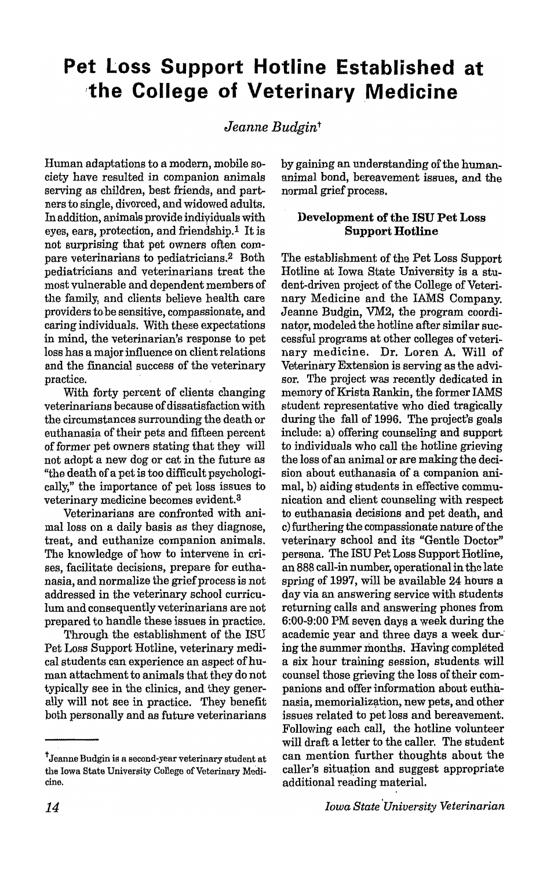# **Pet Loss Support Hotline Established at ,the College of** Veterinary Medicine

# *Jeanne Budgint*

Human adaptations to a modern, mobile society have resulted in companion animals serving as children, best friends, and partners to single, divorced, and widowed adults. In addition, animals provide individuals with eyes, ears, protection, and friendship.<sup>1</sup> It is not surprising that pet owners often compare veterinarians to pediatricians.2 Both pediatricians and veterinarians treat the most vulnerable and dependent members of the family, and clients believe health care providers to be sensitive, compassionate, and caring individuals. With these expectations in mind, the veterinarian's response to pet loss has a major influence on client relations and the fmancial success of the veterinary practice.

With forty percent of clients changing veterinarians because of dissatisfaction with the circumstances surrounding the death or euthanasia of their pets and fifteen percent of former pet owners stating that they will not adopt a new dog or cat in the future as "the death of a pet is too difficult psychologically," the importance of pet loss issues to veterinary medicine becomes evident.3

Veterinarians are confronted with animal loss on a daily basis as they diagnose, treat, and euthanize companion animals. The knowledge of how to intervene in crises, facilitate decisions, prepare for euthanasia, and normalize the grief process is not addressed in the veterinary school curriculum and consequently veterinarians are not prepared to handle these issues in practice.

Through the establishment of the ISU Pet Loss Support Hotline, veterinary medical students can experience an aspect of human attachment to animals that they do not typically see in the clinics, and they generally will not see in practice. They benefit both personally and as future veterinarians by gaining an understanding of the humananimal bond, bereavement issues, and the normal grief process.

## **Developm.ent of the ISU Pet Loss Support Hotline**

The establishment of the Pet Loss Support Hotline at Iowa State University is a student-driven project of the College of Veterinary Medicine and the lAMS Company. Jeanne Budgin, VM2, the program coordinator, modeled the hotline after similar successful programs at other colleges of veterinary medicine. Dr. Loren A. Will of Veterinary Extension is serving as the advisor. The project was recently dedicated in memory of Krista Rankin, the former IAMS student representative who died tragically during the fall of 1996. The project's goals include: a) offering counseling and support to individuals who call the hotline grieving the loss of an animal or are making the decision about euthanasia of a companion animal, b) aiding students in effective communication and client counseling with respect to euthanasia decisions and pet death, and c) furthering the compassionate nature of the veterinary school and its "Gentle Doctor" persona. The ISU Pet Loss Support Hotline, an 888 call-in number, operational in the late spring of 1997, will be available 24 hours a day via an answering service with students returning calls and answering phones from  $6:00-9:00$  PM seven days a week during the academic year and three days a week dur-' ing the summer months. Having completed a six hour training session, students will counsel those grieving the loss of their companions and offer information about euthanasia, memorialization, new pets, and other issues related to pet loss and bereavement. Following each call, the hotline volunteer will draft a letter to the caller. The student can mention further thoughts about the caller's situation and suggest appropriate additional reading material.

tJeanne Budgin is a second-year veterinary student at the Iowa State University College of Veterinary Medicine.